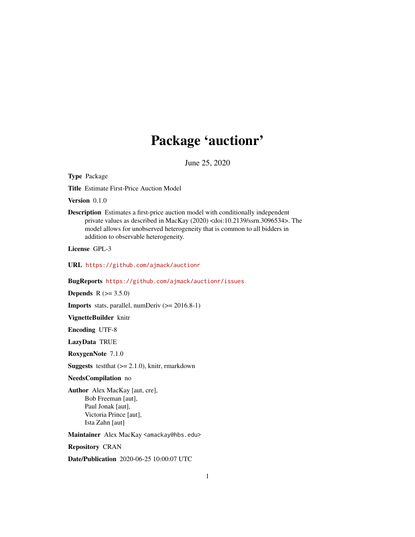# Package 'auctionr'

June 25, 2020

Type Package

Title Estimate First-Price Auction Model

Version 0.1.0

Description Estimates a first-price auction model with conditionally independent private values as described in MacKay (2020) <doi:10.2139/ssrn.3096534>. The model allows for unobserved heterogeneity that is common to all bidders in addition to observable heterogeneity.

License GPL-3

URL <https://github.com/ajmack/auctionr>

BugReports <https://github.com/ajmack/auctionr/issues>

**Depends** R  $(>= 3.5.0)$ 

Imports stats, parallel, numDeriv (>= 2016.8-1)

VignetteBuilder knitr

Encoding UTF-8

LazyData TRUE

RoxygenNote 7.1.0

**Suggests** test that  $(>= 2.1.0)$ , knitr, rmarkdown

#### NeedsCompilation no

Author Alex MacKay [aut, cre], Bob Freeman [aut], Paul Jonak [aut], Victoria Prince [aut], Ista Zahn [aut]

Maintainer Alex MacKay <amackay@hbs.edu>

Repository CRAN

Date/Publication 2020-06-25 10:00:07 UTC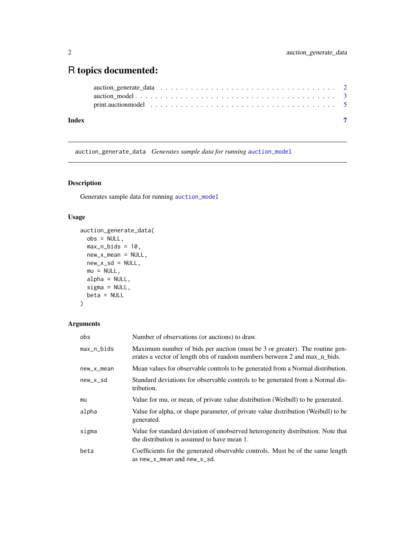## <span id="page-1-0"></span>R topics documented:

| Index |                                                                                                                  |  |
|-------|------------------------------------------------------------------------------------------------------------------|--|
|       | print.auction model $\ldots \ldots \ldots \ldots \ldots \ldots \ldots \ldots \ldots \ldots \ldots \ldots \ldots$ |  |
|       |                                                                                                                  |  |
|       |                                                                                                                  |  |

<span id="page-1-1"></span>auction\_generate\_data *Generates sample data for running* [auction\\_model](#page-2-1)

### Description

Generates sample data for running [auction\\_model](#page-2-1)

#### Usage

```
auction_generate_data(
 obs = NULL,
 max_n_bids = 10,
 new_x_mean = NULL,
 new_x_sd = NULL,
 mu = NULL,alpha = NULL,
 sigma = NULL,
 beta = NULL
)
```
#### Arguments

| obs        | Number of observations (or auctions) to draw.                                                                                                            |
|------------|----------------------------------------------------------------------------------------------------------------------------------------------------------|
| max_n_bids | Maximum number of bids per auction (must be 3 or greater). The routine gen-<br>erates a vector of length obs of random numbers between 2 and max_n_bids. |
| new_x_mean | Mean values for observable controls to be generated from a Normal distribution.                                                                          |
| $new_x_s$  | Standard deviations for observable controls to be generated from a Normal dis-<br>tribution.                                                             |
| mu         | Value for mu, or mean, of private value distribution (Weibull) to be generated.                                                                          |
| alpha      | Value for alpha, or shape parameter, of private value distribution (Weibull) to be<br>generated.                                                         |
| sigma      | Value for standard deviation of unobserved heterogeneity distribution. Note that<br>the distribution is assumed to have mean 1.                          |
| beta       | Coefficients for the generated observable controls. Must be of the same length<br>as new_x_mean and new_x_sd.                                            |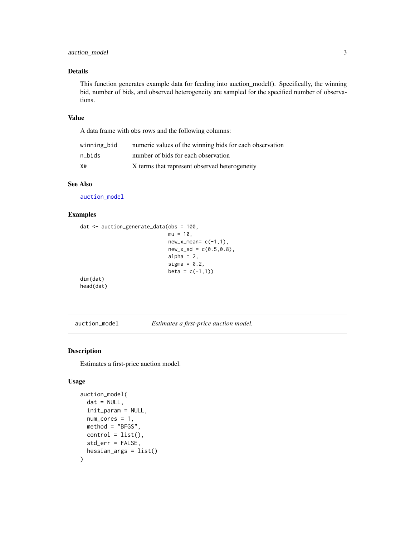#### <span id="page-2-0"></span>auction\_model 3

#### Details

This function generates example data for feeding into auction\_model(). Specifically, the winning bid, number of bids, and observed heterogeneity are sampled for the specified number of observations.

#### Value

A data frame with obs rows and the following columns:

| winning_bid | numeric values of the winning bids for each observation |
|-------------|---------------------------------------------------------|
| n bids      | number of bids for each observation                     |
| X#          | X terms that represent observed heterogeneity           |

#### See Also

[auction\\_model](#page-2-1)

#### Examples

```
dat <- auction_generate_data(obs = 100,
```

```
mu = 10,
                             new_x_mean = c(-1,1),
                             new_x_s = c(0.5, 0.8),
                             alpha = 2,
                             sigma = 0.2,
                             beta = c(-1,1)dim(dat)
head(dat)
```
<span id="page-2-1"></span>auction\_model *Estimates a first-price auction model.*

#### Description

Estimates a first-price auction model.

#### Usage

```
auction_model(
  dat = NULL,init_param = NULL,
  num\_cores = 1,
 method = "BFGS",
  control = list(),
  std_err = FALSE,
  hessian_args = list()
)
```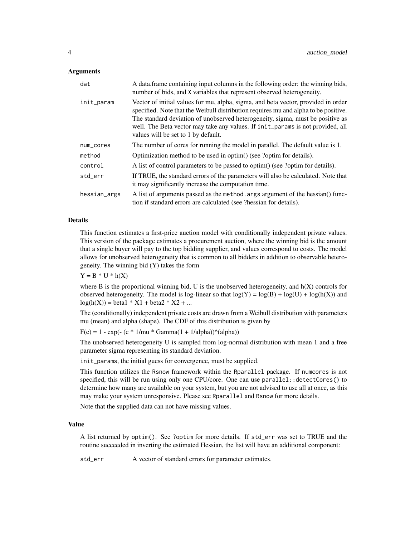#### **Arguments**

| dat          | A data frame containing input columns in the following order: the winning bids,<br>number of bids, and X variables that represent observed heterogeneity.                                                                                                                                                                                                                           |  |
|--------------|-------------------------------------------------------------------------------------------------------------------------------------------------------------------------------------------------------------------------------------------------------------------------------------------------------------------------------------------------------------------------------------|--|
| init_param   | Vector of initial values for mu, alpha, sigma, and beta vector, provided in order<br>specified. Note that the Weibull distribution requires mu and alpha to be positive.<br>The standard deviation of unobserved heterogeneity, sigma, must be positive as<br>well. The Beta vector may take any values. If init_params is not provided, all<br>values will be set to 1 by default. |  |
| num_cores    | The number of cores for running the model in parallel. The default value is 1.                                                                                                                                                                                                                                                                                                      |  |
| method       | Optimization method to be used in optim() (see ?optim for details).                                                                                                                                                                                                                                                                                                                 |  |
| control      | A list of control parameters to be passed to optim() (see ?optim for details).                                                                                                                                                                                                                                                                                                      |  |
| std_err      | If TRUE, the standard errors of the parameters will also be calculated. Note that<br>it may significantly increase the computation time.                                                                                                                                                                                                                                            |  |
| hessian_args | A list of arguments passed as the method. args argument of the hessian() func-<br>tion if standard errors are calculated (see ?hessian for details).                                                                                                                                                                                                                                |  |

#### Details

This function estimates a first-price auction model with conditionally independent private values. This version of the package estimates a procurement auction, where the winning bid is the amount that a single buyer will pay to the top bidding supplier, and values correspond to costs. The model allows for unobserved heterogeneity that is common to all bidders in addition to observable heterogeneity. The winning bid (Y) takes the form

 $Y = B * U * h(X)$ 

where  $B$  is the proportional winning bid, U is the unobserved heterogeneity, and  $h(X)$  controls for observed heterogeneity. The model is log-linear so that  $log(Y) = log(B) + log(U) + log(h(X))$  and  $log(h(X)) = beta1 * X1 + beta2 * X2 + ...$ 

The (conditionally) independent private costs are drawn from a Weibull distribution with parameters mu (mean) and alpha (shape). The CDF of this distribution is given by

 $F(c) = 1 - exp(-(c * 1/mu * Gamma(1 + 1/alpha))<sup>(</sup>(alpha))$ 

The unobserved heterogeneity U is sampled from log-normal distribution with mean 1 and a free parameter sigma representing its standard deviation.

init\_params, the initial guess for convergence, must be supplied.

This function utilizes the Rsnow framework within the Rparallel package. If numcores is not specified, this will be run using only one CPU/core. One can use parallel::detectCores() to determine how many are available on your system, but you are not advised to use all at once, as this may make your system unresponsive. Please see Rparallel and Rsnow for more details.

Note that the supplied data can not have missing values.

#### Value

A list returned by optim(). See ?optim for more details. If std\_err was set to TRUE and the routine succeeded in inverting the estimated Hessian, the list will have an additional component:

std\_err A vector of standard errors for parameter estimates.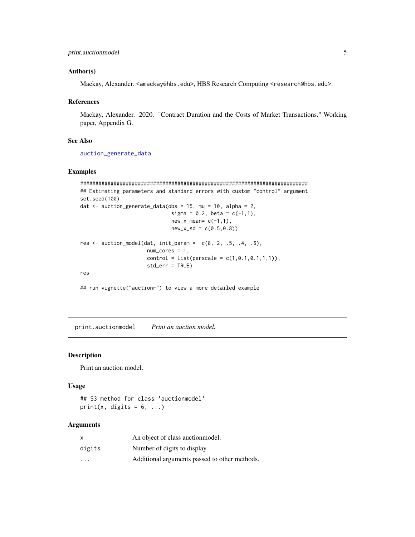#### <span id="page-4-0"></span>print.auctionmodel 5

#### Author(s)

Mackay, Alexander. <amackay@hbs.edu>, HBS Research Computing <research@hbs.edu>.

#### References

Mackay, Alexander. 2020. "Contract Duration and the Costs of Market Transactions." Working paper, Appendix G.

#### See Also

[auction\\_generate\\_data](#page-1-1)

#### Examples

```
###########################################################################
## Estimating parameters and standard errors with custom "control" argument
set.seed(100)
dat \le - auction_generate_data(obs = 15, mu = 10, alpha = 2,
                              sigma = 0.2, beta = c(-1,1),
                              new_x_mean = c(-1,1),
                              new_x_s = c(0.5, 0.8)res \le auction_model(dat, init_param = c(8, 2, .5, .4, .6),
                      num_cores = 1,
                      control = list(parscale = c(1, 0.1, 0.1, 1, 1)),std_err = TRUE)
res
## run vignette("auctionr") to view a more detailed example
```
print.auctionmodel *Print an auction model.*

#### Description

Print an auction model.

#### Usage

## S3 method for class 'auctionmodel' print(x, digits =  $6, ...$ )

#### Arguments

| x                       | An object of class auction model.             |
|-------------------------|-----------------------------------------------|
| digits                  | Number of digits to display.                  |
| $\cdot$ $\cdot$ $\cdot$ | Additional arguments passed to other methods. |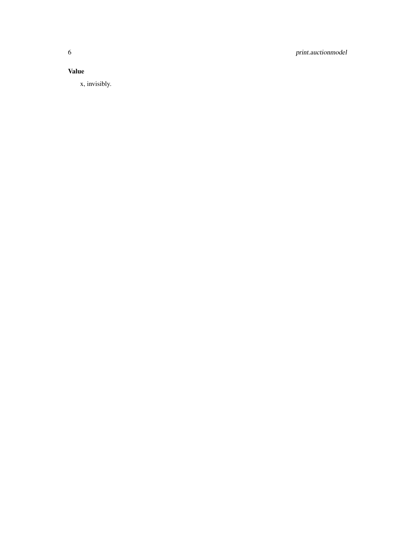6 print.auctionmodel

#### Value

x, invisibly.